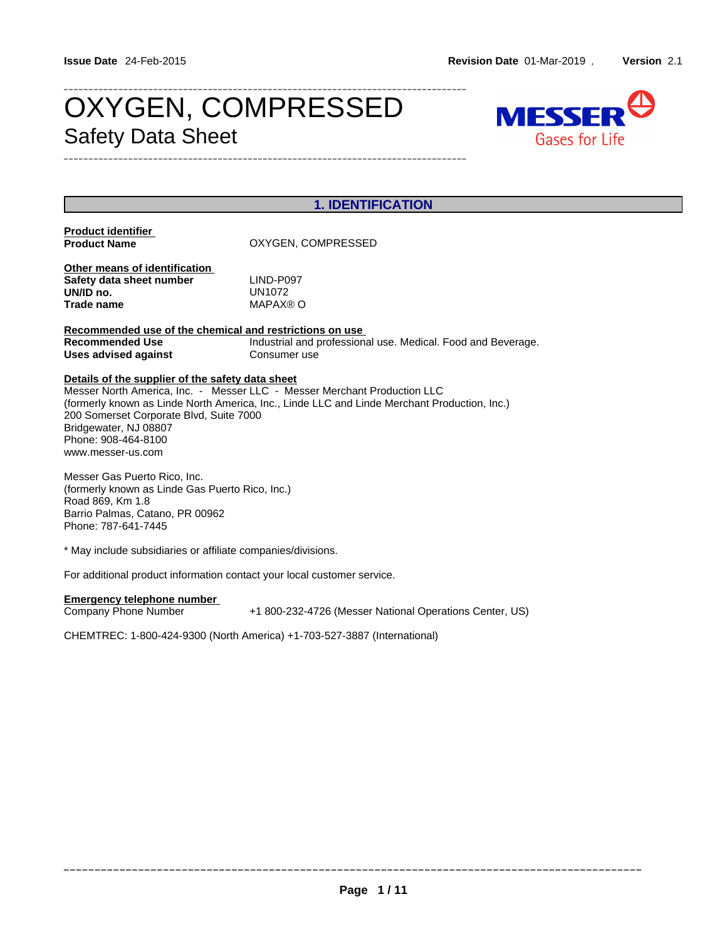# OXYGEN, COMPRESSED MESSER Safety Data Sheet



|                                                                                                                                                                  | <b>1. IDENTIFICATION</b>                                                                                                                                                 |  |  |  |
|------------------------------------------------------------------------------------------------------------------------------------------------------------------|--------------------------------------------------------------------------------------------------------------------------------------------------------------------------|--|--|--|
| <b>Product identifier</b><br><b>Product Name</b>                                                                                                                 | OXYGEN, COMPRESSED                                                                                                                                                       |  |  |  |
| Other means of identification<br>Safety data sheet number<br>UN/ID no.<br><b>Trade name</b>                                                                      | LIND-P097<br><b>UN1072</b><br>MAPAX® O                                                                                                                                   |  |  |  |
| Recommended use of the chemical and restrictions on use<br><b>Recommended Use</b><br><b>Uses advised against</b>                                                 | Industrial and professional use. Medical. Food and Beverage.<br>Consumer use                                                                                             |  |  |  |
| Details of the supplier of the safety data sheet<br>200 Somerset Corporate Blvd, Suite 7000<br>Bridgewater, NJ 08807<br>Phone: 908-464-8100<br>www.messer-us.com | Messer North America, Inc. - Messer LLC - Messer Merchant Production LLC<br>(formerly known as Linde North America, Inc., Linde LLC and Linde Merchant Production, Inc.) |  |  |  |
| Messer Gas Puerto Rico, Inc.<br>(formerly known as Linde Gas Puerto Rico, Inc.)<br>Road 869, Km 1.8<br>Barrio Palmas, Catano, PR 00962<br>Phone: 787-641-7445    |                                                                                                                                                                          |  |  |  |
| * May include subsidiaries or affiliate companies/divisions.                                                                                                     |                                                                                                                                                                          |  |  |  |
| For additional product information contact your local customer service.                                                                                          |                                                                                                                                                                          |  |  |  |
| <b>Emergency telephone number</b><br>Company Phone Number                                                                                                        | +1 800-232-4726 (Messer National Operations Center, US)                                                                                                                  |  |  |  |
|                                                                                                                                                                  |                                                                                                                                                                          |  |  |  |

CHEMTREC: 1-800-424-9300 (North America) +1-703-527-3887 (International)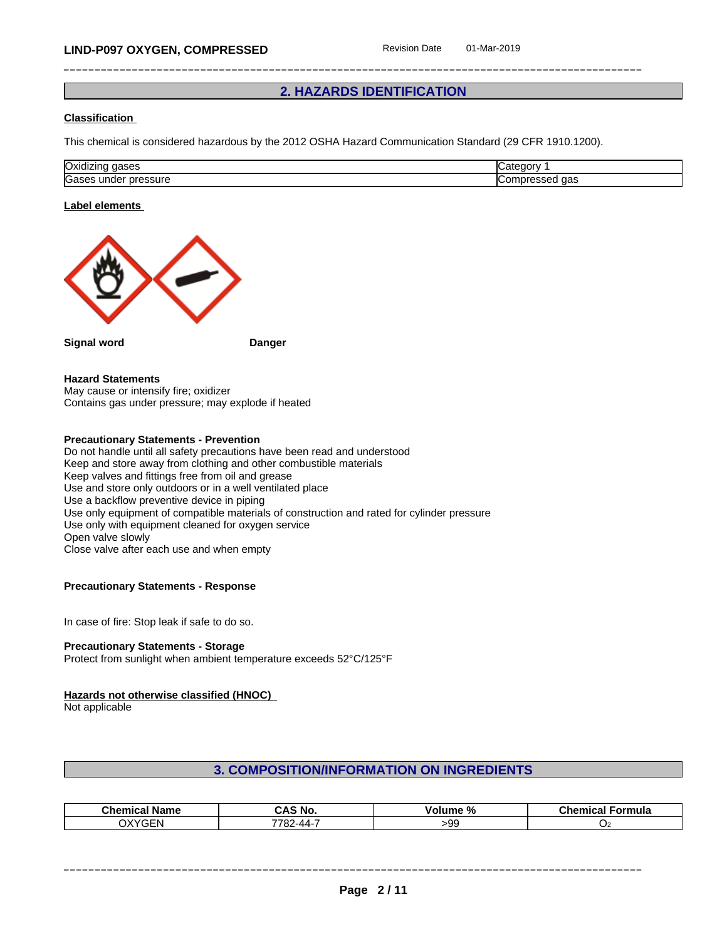# **2. HAZARDS IDENTIFICATION**

## **Classification**

This chemical is considered hazardous by the 2012 OSHA Hazard Communication Standard (29 CFR 1910.1200).

| Oxidizing<br>$\sim$<br>uases | arr.<br>דרזי |
|------------------------------|--------------|
| <b>Gases</b>                 | $\sim$       |
| .                            | O۲.          |
| unae                         | ua:          |
| ssuit                        | ושו          |

#### **Label elements**



**Signal word Danger**

## **Hazard Statements**

May cause or intensify fire; oxidizer Contains gas under pressure; may explode if heated

# **Precautionary Statements - Prevention**

Do not handle until all safety precautions have been read and understood Keep and store away from clothing and other combustible materials Keep valves and fittings free from oil and grease Use and store only outdoors or in a well ventilated place Use a backflow preventive device in piping Use only equipment of compatible materials of construction and rated for cylinder pressure Use only with equipment cleaned for oxygen service Open valve slowly Close valve after each use and when empty

## **Precautionary Statements - Response**

In case of fire: Stop leak if safe to do so.

#### **Precautionary Statements - Storage**

Protect from sunlight when ambient temperature exceeds 52°C/125°F

#### **Hazards not otherwise classified (HNOC)**

Not applicable

# **3. COMPOSITION/INFORMATION ON INGREDIENTS**

| - -<br>Chemical<br>Name                                         | CAS No.                   | .<br>iume<br>-70<br>-or | <b>AL</b><br>emica<br>Formula |
|-----------------------------------------------------------------|---------------------------|-------------------------|-------------------------------|
| $\bigcap V \cup \bigcap \Gamma$<br>$1 - F N$<br>$\cdot$<br>. ۸۸ | 7700<br>. . $OZ - 44 - 7$ | ~~<br>,uu<br>.          |                               |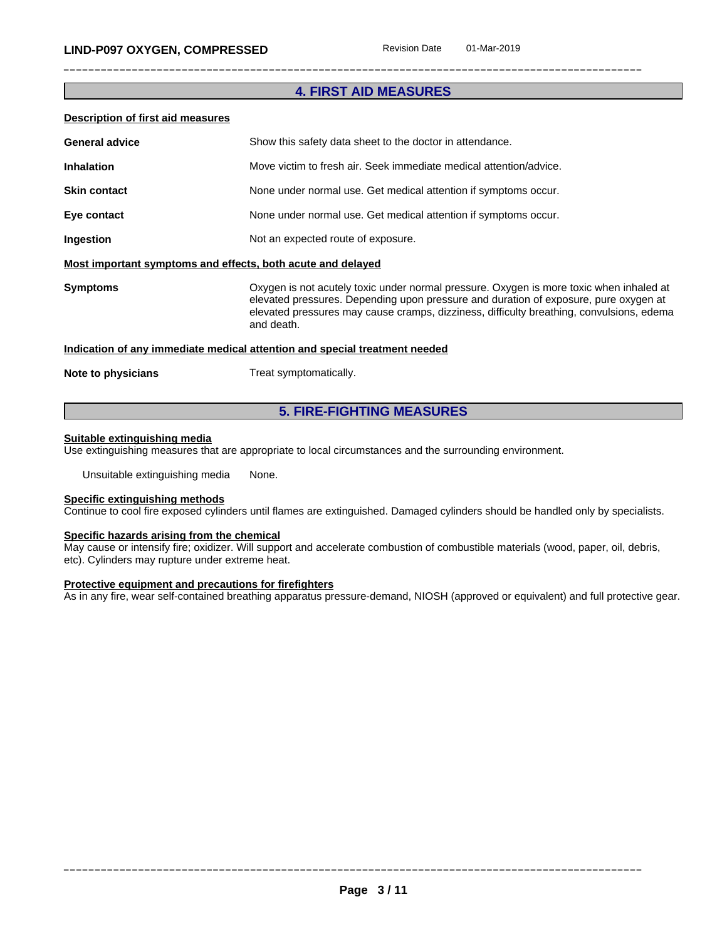# **4. FIRST AID MEASURES**

### **Description of first aid measures**

| <b>General advice</b>                                       | Show this safety data sheet to the doctor in attendance.                                                                                                                                                                                                                                  |  |  |  |
|-------------------------------------------------------------|-------------------------------------------------------------------------------------------------------------------------------------------------------------------------------------------------------------------------------------------------------------------------------------------|--|--|--|
| <b>Inhalation</b>                                           | Move victim to fresh air. Seek immediate medical attention/advice.                                                                                                                                                                                                                        |  |  |  |
| <b>Skin contact</b>                                         | None under normal use. Get medical attention if symptoms occur.                                                                                                                                                                                                                           |  |  |  |
| Eye contact                                                 | None under normal use. Get medical attention if symptoms occur.                                                                                                                                                                                                                           |  |  |  |
| Ingestion                                                   | Not an expected route of exposure.                                                                                                                                                                                                                                                        |  |  |  |
| Most important symptoms and effects, both acute and delayed |                                                                                                                                                                                                                                                                                           |  |  |  |
| <b>Symptoms</b>                                             | Oxygen is not acutely toxic under normal pressure. Oxygen is more toxic when inhaled at<br>elevated pressures. Depending upon pressure and duration of exposure, pure oxygen at<br>elevated pressures may cause cramps, dizziness, difficulty breathing, convulsions, edema<br>and death. |  |  |  |
|                                                             | Indication of any immediate medical attention and special treatment needed                                                                                                                                                                                                                |  |  |  |
| Note to physicians                                          | Treat symptomatically.                                                                                                                                                                                                                                                                    |  |  |  |

# **5. FIRE-FIGHTING MEASURES**

#### **Suitable extinguishing media**

Use extinguishing measures that are appropriate to local circumstances and the surrounding environment.

Unsuitable extinguishing media None.

# **Specific extinguishing methods**

Continue to cool fire exposed cylinders untilflames are extinguished. Damaged cylinders should be handled only by specialists.

# **Specific hazards arising from the chemical**

May cause or intensify fire; oxidizer. Will support and accelerate combustion of combustible materials (wood, paper, oil, debris, etc). Cylinders may rupture under extreme heat.

#### **Protective equipment and precautions for firefighters**

As in any fire, wear self-contained breathing apparatus pressure-demand, NIOSH (approved or equivalent) and full protective gear.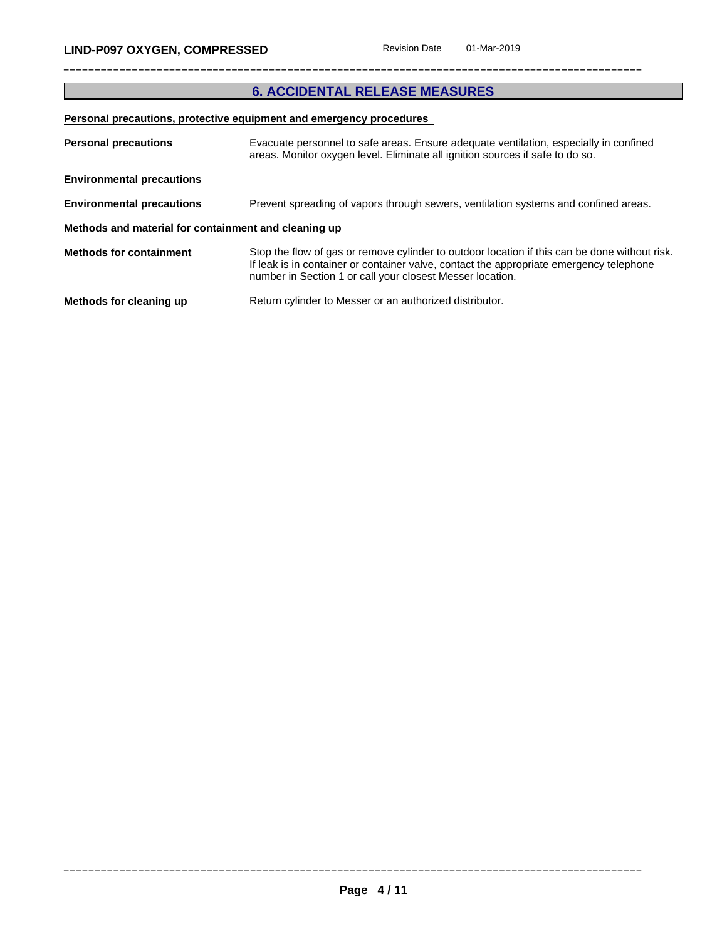# **6. ACCIDENTAL RELEASE MEASURES**

# **Personal precautions, protective equipment and emergency procedures**

| <b>Personal precautions</b><br>Evacuate personnel to safe areas. Ensure adequate ventilation, especially in confined<br>areas. Monitor oxygen level. Eliminate all ignition sources if safe to do so. |                                                                                                                                                                                                                                                       |  |  |
|-------------------------------------------------------------------------------------------------------------------------------------------------------------------------------------------------------|-------------------------------------------------------------------------------------------------------------------------------------------------------------------------------------------------------------------------------------------------------|--|--|
| <b>Environmental precautions</b>                                                                                                                                                                      |                                                                                                                                                                                                                                                       |  |  |
| <b>Environmental precautions</b>                                                                                                                                                                      | Prevent spreading of vapors through sewers, ventilation systems and confined areas.                                                                                                                                                                   |  |  |
| Methods and material for containment and cleaning up                                                                                                                                                  |                                                                                                                                                                                                                                                       |  |  |
| <b>Methods for containment</b>                                                                                                                                                                        | Stop the flow of gas or remove cylinder to outdoor location if this can be done without risk.<br>If leak is in container or container valve, contact the appropriate emergency telephone<br>number in Section 1 or call your closest Messer location. |  |  |
| Methods for cleaning up                                                                                                                                                                               | Return cylinder to Messer or an authorized distributor.                                                                                                                                                                                               |  |  |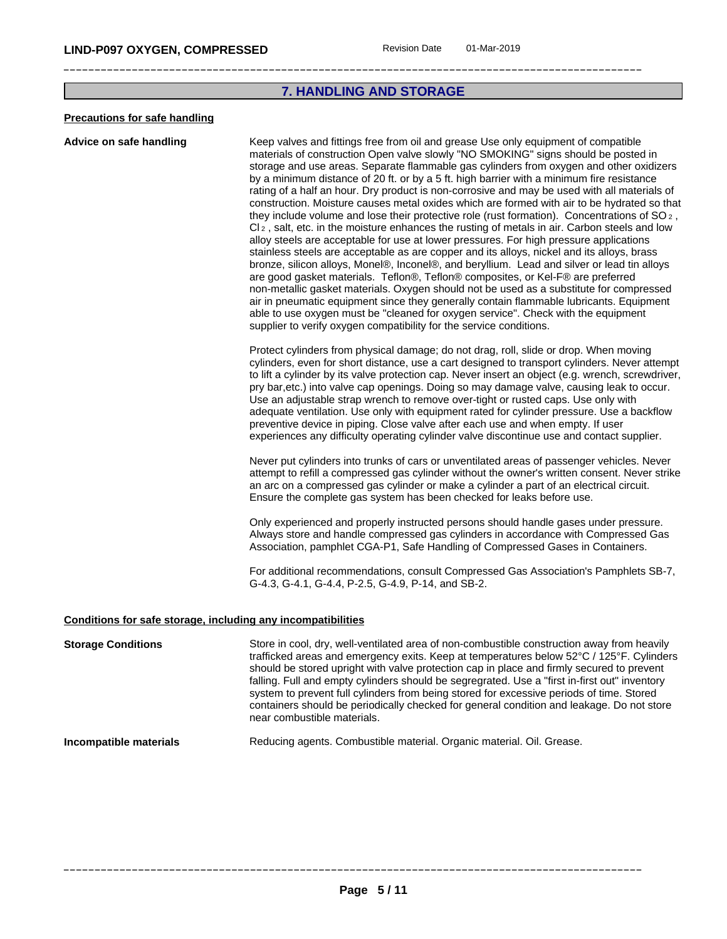# **7. HANDLING AND STORAGE**

#### **Precautions for safe handling**

**Advice on safe handling** Keep valves and fittings free from oil and grease Use only equipment of compatible materials of construction Open valve slowly "NO SMOKING" signs should be posted in storage and use areas. Separate flammable gas cylinders from oxygen and other oxidizers by a minimum distance of 20 ft. or by a 5 ft. high barrier with a minimum fire resistance rating of a half an hour. Dry product is non-corrosive and may be used with all materials of construction. Moisture causes metal oxides which are formed with air to be hydrated so that they include volume and lose their protective role (rust formation). Concentrations of  $SO_2$ , Cl<sup>2</sup> , salt, etc. in the moisture enhances the rusting of metals in air. Carbon steels and low alloy steels are acceptable for use at lower pressures. For high pressure applications stainless steels are acceptable as are copper and its alloys, nickel and its alloys, brass bronze, silicon alloys, Monel®, Inconel®, and beryllium. Lead and silver or lead tin alloys are good gasket materials. Teflon®, Teflon® composites, or Kel-F® are preferred non-metallic gasket materials. Oxygen should not be used as a substitute for compressed air in pneumatic equipment since they generally contain flammable lubricants. Equipment able to use oxygen must be "cleaned for oxygen service". Check with the equipment supplier to verify oxygen compatibility for the service conditions.

Protect cylinders from physical damage; do not drag, roll, slide or drop. When moving cylinders, even for short distance, use a cart designed to transport cylinders. Never attempt to lift a cylinder by its valve protection cap. Never insert an object (e.g. wrench, screwdriver, pry bar,etc.) into valve cap openings. Doing so may damage valve, causing leak to occur. Use an adjustable strap wrench to remove over-tight or rusted caps. Use only with adequate ventilation. Use only with equipment rated for cylinder pressure. Use a backflow preventive device in piping. Close valve after each use and when empty. If user experiences any difficulty operating cylinder valve discontinue use and contact supplier.

Never put cylinders into trunks of cars or unventilated areas of passenger vehicles. Never attempt to refill a compressed gas cylinder without the owner's written consent. Never strike an arc on a compressed gas cylinder or make a cylinder a part of an electrical circuit. Ensure the complete gas system has been checked for leaks before use.

Only experienced and properly instructed persons should handle gases under pressure. Always store and handle compressed gas cylinders in accordance with Compressed Gas Association, pamphlet CGA-P1, Safe Handling of Compressed Gases in Containers.

For additional recommendations, consult Compressed Gas Association's Pamphlets SB-7, G-4.3, G-4.1, G-4.4, P-2.5, G-4.9, P-14, and SB-2.

#### **Conditions for safe storage, including any incompatibilities**

| near combustible materials. |
|-----------------------------|
|-----------------------------|

## **Incompatible materials** Reducing agents. Combustible material. Organic material. Oil. Grease.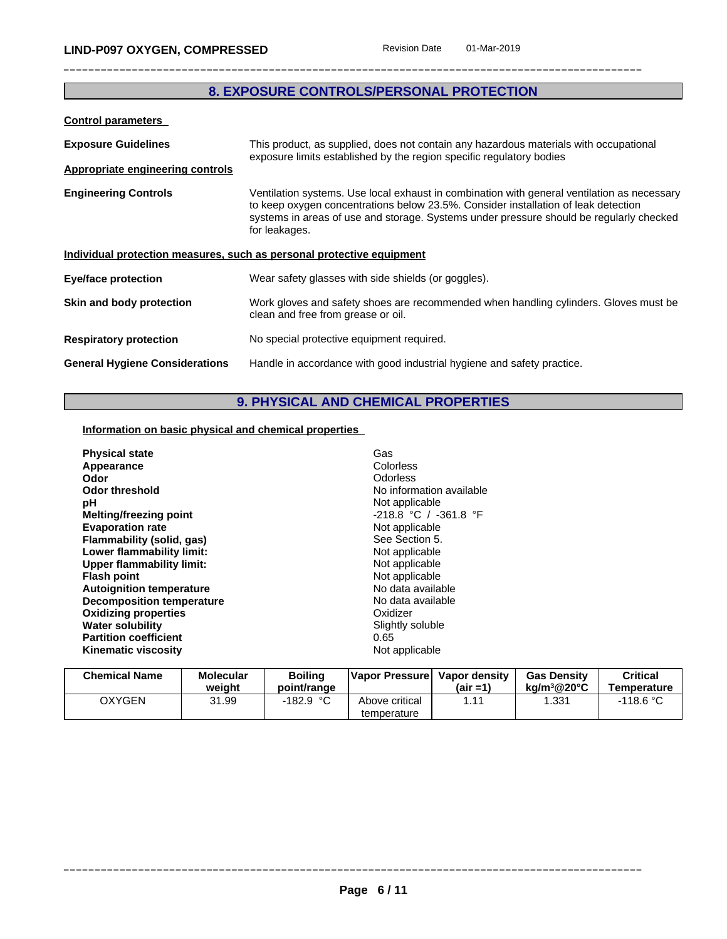# **8. EXPOSURE CONTROLS/PERSONAL PROTECTION**

| <b>Control parameters</b>               |                                                                                                                                                                                                                                                                                               |  |
|-----------------------------------------|-----------------------------------------------------------------------------------------------------------------------------------------------------------------------------------------------------------------------------------------------------------------------------------------------|--|
| <b>Exposure Guidelines</b>              | This product, as supplied, does not contain any hazardous materials with occupational<br>exposure limits established by the region specific regulatory bodies                                                                                                                                 |  |
| <b>Appropriate engineering controls</b> |                                                                                                                                                                                                                                                                                               |  |
| <b>Engineering Controls</b>             | Ventilation systems. Use local exhaust in combination with general ventilation as necessary<br>to keep oxygen concentrations below 23.5%. Consider installation of leak detection<br>systems in areas of use and storage. Systems under pressure should be regularly checked<br>for leakages. |  |
|                                         | Individual protection measures, such as personal protective equipment                                                                                                                                                                                                                         |  |
| <b>Eye/face protection</b>              | Wear safety glasses with side shields (or goggles).                                                                                                                                                                                                                                           |  |
| Skin and body protection                | Work gloves and safety shoes are recommended when handling cylinders. Gloves must be<br>clean and free from grease or oil.                                                                                                                                                                    |  |
| <b>Respiratory protection</b>           | No special protective equipment required.                                                                                                                                                                                                                                                     |  |
| <b>General Hygiene Considerations</b>   | Handle in accordance with good industrial hygiene and safety practice.                                                                                                                                                                                                                        |  |

# **9. PHYSICAL AND CHEMICAL PROPERTIES**

# **Information on basic physical and chemical properties**

| <b>Physical state</b><br>Appearance<br>Odor<br>Odor threshold<br>рH<br>Melting/freezing point<br><b>Evaporation rate</b><br>Flammability (solid, gas)<br>Lower flammability limit:<br><b>Upper flammability limit:</b><br><b>Flash point</b><br><b>Autoignition temperature</b> | Gas<br>Colorless<br>Odorless<br>No information available<br>Not applicable<br>$-218.8$ °C / $-361.8$ °F<br>Not applicable<br>See Section 5.<br>Not applicable<br>Not applicable<br>Not applicable<br>No data available<br>No data available |
|---------------------------------------------------------------------------------------------------------------------------------------------------------------------------------------------------------------------------------------------------------------------------------|---------------------------------------------------------------------------------------------------------------------------------------------------------------------------------------------------------------------------------------------|
| Decomposition temperature<br><b>Oxidizing properties</b><br><b>Water solubility</b>                                                                                                                                                                                             | Oxidizer<br>Slightly soluble                                                                                                                                                                                                                |
| <b>Partition coefficient</b><br><b>Kinematic viscosity</b>                                                                                                                                                                                                                      | 0.65<br>Not applicable                                                                                                                                                                                                                      |

| <b>Chemical Name</b> | Molecular<br>weiaht | <b>Boiling</b><br>point/range | Vapor Pressurel               | Vapor density<br>$(air = 1)$ | <b>Gas Density</b><br>ka/m <sup>3</sup> @20°C | Critical<br>Temperature |
|----------------------|---------------------|-------------------------------|-------------------------------|------------------------------|-----------------------------------------------|-------------------------|
| <b>OXYGEN</b>        | 31.99               | -182.9 °C                     | Above critical<br>temperature |                              | .331                                          | $-118.6\degree$ C       |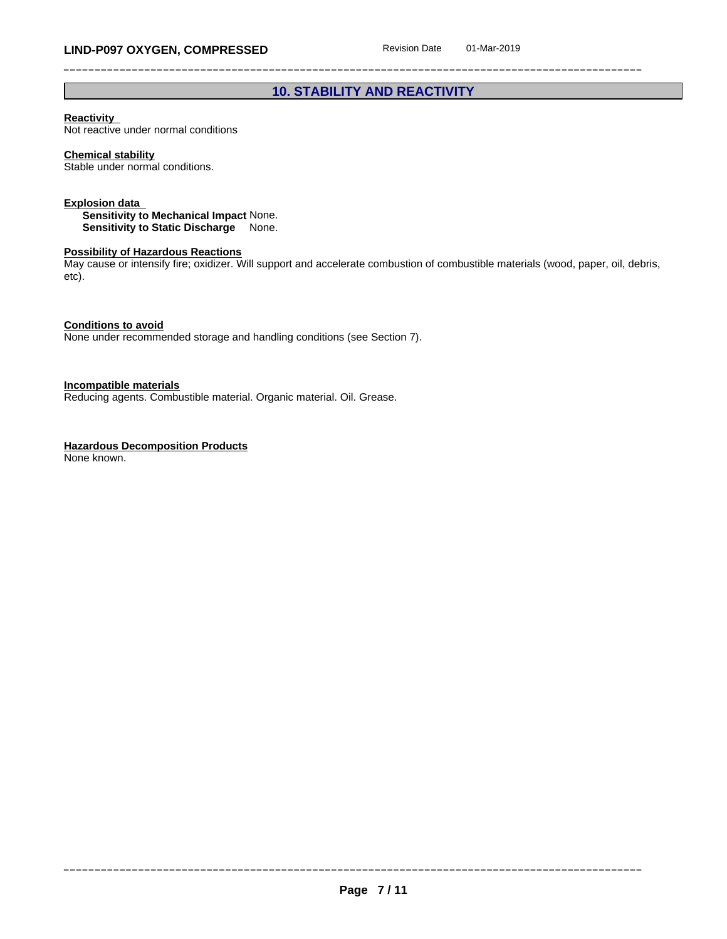# **10. STABILITY AND REACTIVITY**

## **Reactivity**

Not reactive under normal conditions

## **Chemical stability**

Stable under normal conditions.

#### **Explosion data**

**Sensitivity to Mechanical Impact** None. **Sensitivity to Static Discharge** None.

#### **Possibility of Hazardous Reactions**

May cause or intensify fire; oxidizer. Will support and accelerate combustion of combustible materials (wood, paper, oil, debris, etc).

**Conditions to avoid**

None under recommended storage and handling conditions (see Section 7).

**Incompatible materials**

Reducing agents. Combustible material. Organic material. Oil. Grease.

## **Hazardous Decomposition Products**

None known.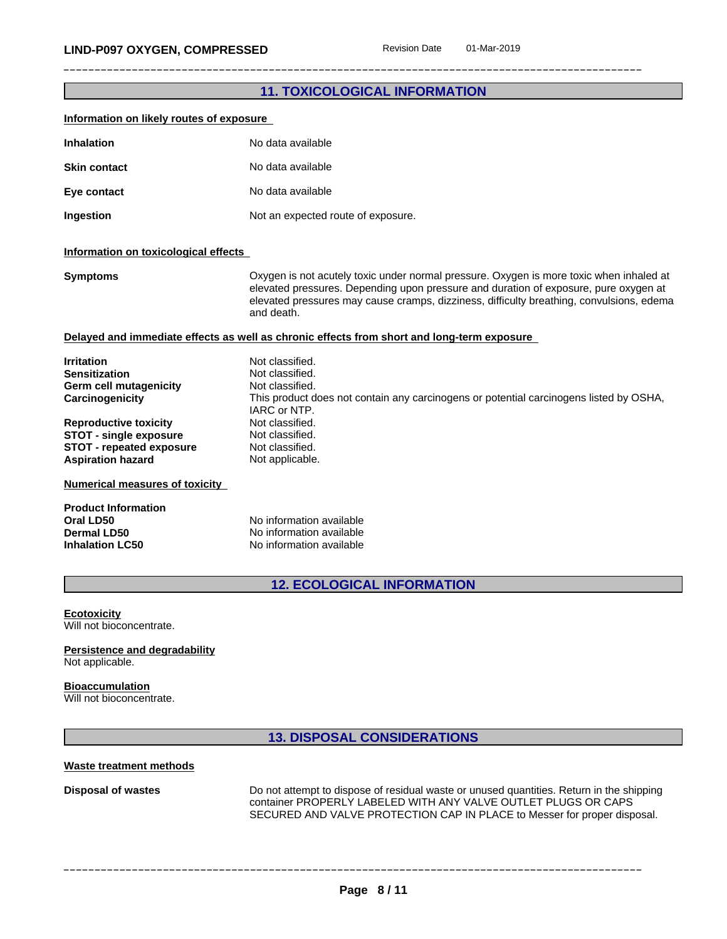# **11. TOXICOLOGICAL INFORMATION**

| Information on likely routes of exposure                                                                                                                                                                                                                                                                                                                   |                                                                                                                                                                                                                                                                                                                                 |
|------------------------------------------------------------------------------------------------------------------------------------------------------------------------------------------------------------------------------------------------------------------------------------------------------------------------------------------------------------|---------------------------------------------------------------------------------------------------------------------------------------------------------------------------------------------------------------------------------------------------------------------------------------------------------------------------------|
| <b>Inhalation</b>                                                                                                                                                                                                                                                                                                                                          | No data available                                                                                                                                                                                                                                                                                                               |
| <b>Skin contact</b>                                                                                                                                                                                                                                                                                                                                        | No data available                                                                                                                                                                                                                                                                                                               |
| Eye contact                                                                                                                                                                                                                                                                                                                                                | No data available                                                                                                                                                                                                                                                                                                               |
| Ingestion                                                                                                                                                                                                                                                                                                                                                  | Not an expected route of exposure.                                                                                                                                                                                                                                                                                              |
| Information on toxicological effects                                                                                                                                                                                                                                                                                                                       |                                                                                                                                                                                                                                                                                                                                 |
| <b>Symptoms</b>                                                                                                                                                                                                                                                                                                                                            | Oxygen is not acutely toxic under normal pressure. Oxygen is more toxic when inhaled at<br>elevated pressures. Depending upon pressure and duration of exposure, pure oxygen at<br>elevated pressures may cause cramps, dizziness, difficulty breathing, convulsions, edema<br>and death.                                       |
|                                                                                                                                                                                                                                                                                                                                                            | Delayed and immediate effects as well as chronic effects from short and long-term exposure                                                                                                                                                                                                                                      |
| <b>Irritation</b><br><b>Sensitization</b><br>Germ cell mutagenicity<br>Carcinogenicity<br><b>Reproductive toxicity</b><br><b>STOT - single exposure</b><br><b>STOT - repeated exposure</b><br><b>Aspiration hazard</b><br><b>Numerical measures of toxicity</b><br><b>Product Information</b><br>Oral LD50<br><b>Dermal LD50</b><br><b>Inhalation LC50</b> | Not classified.<br>Not classified.<br>Not classified.<br>This product does not contain any carcinogens or potential carcinogens listed by OSHA,<br>IARC or NTP.<br>Not classified.<br>Not classified.<br>Not classified.<br>Not applicable.<br>No information available<br>No information available<br>No information available |
|                                                                                                                                                                                                                                                                                                                                                            | <b>12. ECOLOGICAL INFORMATION</b>                                                                                                                                                                                                                                                                                               |
| <b>Ecotoxicity</b><br>Will not bioconcentrate.                                                                                                                                                                                                                                                                                                             |                                                                                                                                                                                                                                                                                                                                 |
| Persistence and degradability<br>Not applicable.                                                                                                                                                                                                                                                                                                           |                                                                                                                                                                                                                                                                                                                                 |
| <b>Bioaccumulation</b><br>Will not bioconcentrate.                                                                                                                                                                                                                                                                                                         |                                                                                                                                                                                                                                                                                                                                 |
|                                                                                                                                                                                                                                                                                                                                                            | <b>13. DISPOSAL CONSIDERATIONS</b>                                                                                                                                                                                                                                                                                              |
|                                                                                                                                                                                                                                                                                                                                                            |                                                                                                                                                                                                                                                                                                                                 |

#### **Waste treatment methods**

**Disposal of wastes** Do not attempt to dispose of residual waste or unused quantities. Return in the shipping container PROPERLY LABELED WITH ANY VALVE OUTLET PLUGS OR CAPS SECURED AND VALVE PROTECTION CAP IN PLACE to Messer for proper disposal.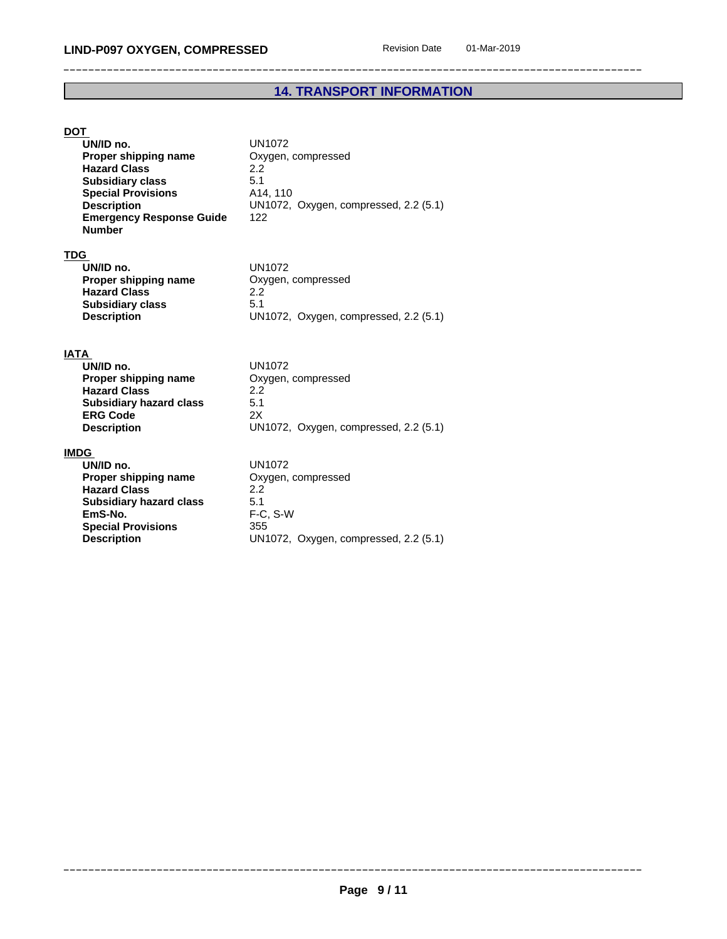# **14. TRANSPORT INFORMATION**

# **DOT**

| UN/ID no.<br>Proper shipping name<br><b>Hazard Class</b><br><b>Subsidiary class</b><br><b>Special Provisions</b><br><b>Description</b><br><b>Emergency Response Guide</b><br><b>Number</b> | <b>UN1072</b><br>Oxygen, compressed<br>$2.2^{\circ}$<br>5.1<br>A14, 110<br>UN1072, Oxygen, compressed, 2.2 (5.1)<br>122 |
|--------------------------------------------------------------------------------------------------------------------------------------------------------------------------------------------|-------------------------------------------------------------------------------------------------------------------------|
| TDG<br>UN/ID no.<br>Proper shipping name<br><b>Hazard Class</b><br><b>Subsidiary class</b><br><b>Description</b>                                                                           | UN1072<br>Oxygen, compressed<br>2.2<br>5.1<br>UN1072, Oxygen, compressed, 2.2 (5.1)                                     |
| IATA<br>UN/ID no.<br>Proper shipping name<br><b>Hazard Class</b><br><b>Subsidiary hazard class</b><br><b>ERG Code</b><br><b>Description</b>                                                | UN1072<br>Oxygen, compressed<br>2.2<br>5.1<br>2X<br>UN1072, Oxygen, compressed, 2.2 (5.1)                               |

# **IMDG**

| UN/ID no.                      | UN1072                  |
|--------------------------------|-------------------------|
| Proper shipping name           | Oxygen, compressed      |
| <b>Hazard Class</b>            | 22                      |
| <b>Subsidiary hazard class</b> | 5.1                     |
| EmS-No.                        | $F-C. S-W$              |
| <b>Special Provisions</b>      | 355                     |
| <b>Description</b>             | UN1072, Oxygen, compres |
|                                |                         |

**UN1072** 

**Properant enancy property enancy n EmS-No.** F-C, S-W **Special Provisions** 355 **Description** UN1072, Oxygen, compressed, 2.2 (5.1)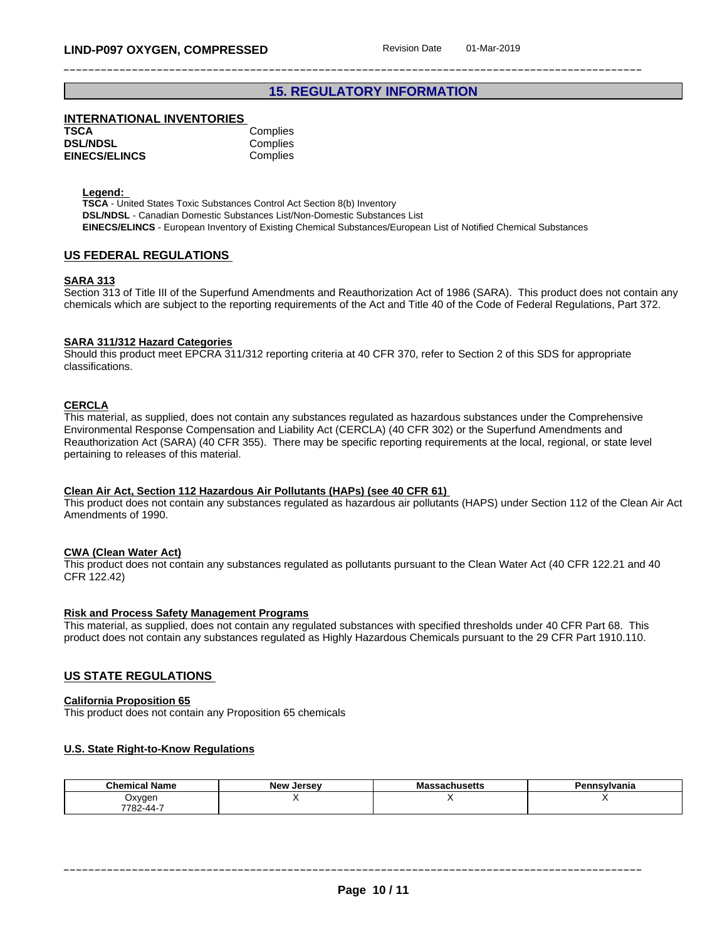# **15. REGULATORY INFORMATION**

## **INTERNATIONAL INVENTORIES**

| TSCA                 | Complies |
|----------------------|----------|
| <b>DSL/NDSL</b>      | Complies |
| <b>EINECS/ELINCS</b> | Complies |

**Legend:** 

**TSCA** - United States Toxic Substances Control Act Section 8(b) Inventory **DSL/NDSL** - Canadian Domestic Substances List/Non-Domestic Substances List **EINECS/ELINCS** - European Inventory of Existing Chemical Substances/European List of Notified Chemical Substances

#### **US FEDERAL REGULATIONS**

#### **SARA 313**

Section 313 of Title III of the Superfund Amendments and Reauthorization Act of 1986 (SARA). This product does not contain any chemicals which are subject to the reporting requirements of the Act and Title 40 of the Code of Federal Regulations, Part 372.

#### **SARA 311/312 Hazard Categories**

Should this product meet EPCRA 311/312 reporting criteria at 40 CFR 370, refer to Section 2 of this SDS for appropriate classifications.

#### **CERCLA**

This material, as supplied, does not contain any substances regulated as hazardous substances under the Comprehensive Environmental Response Compensation and Liability Act (CERCLA) (40 CFR 302) or the Superfund Amendments and Reauthorization Act (SARA) (40 CFR 355). There may be specific reporting requirements at the local, regional, or state level pertaining to releases of this material.

#### **Clean Air Act,Section 112 Hazardous Air Pollutants (HAPs) (see 40 CFR 61)**

This product does not contain any substances regulated as hazardous air pollutants (HAPS) under Section 112 of the Clean Air Act Amendments of 1990.

#### **CWA** (Clean Water Act)

This product does not contain any substances regulated as pollutants pursuant to the Clean Water Act (40 CFR 122.21 and 40 CFR 122.42)

#### **Risk and Process Safety Management Programs**

This material, as supplied, does not contain any regulated substances with specified thresholds under 40 CFR Part 68. This product does not contain any substances regulated as Highly Hazardous Chemicals pursuant to the 29 CFR Part 1910.110.

#### **US STATE REGULATIONS**

#### **California Proposition 65**

This product does not contain any Proposition 65 chemicals

#### **U.S. State Right-to-Know Regulations**

| <b>Chemical Name</b> | <b>Jersey</b><br>New | Massachusetts | n.<br>nsylvania |
|----------------------|----------------------|---------------|-----------------|
| Oxyger               |                      |               |                 |
| 7782-44-7            |                      |               |                 |